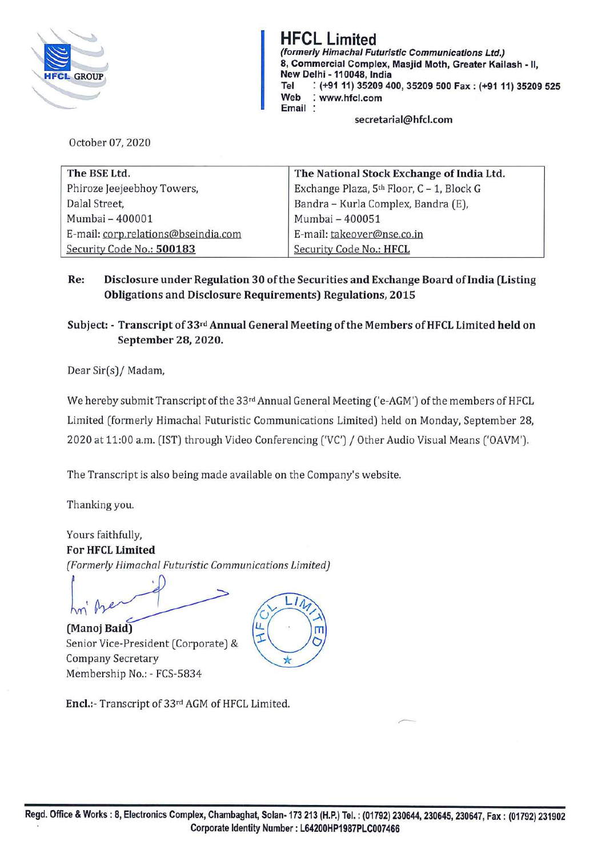

HFCL Limited (formerly Himachal Futuristic Communications Ltd.) 8, Commercial Complex, Masjid Moth, Greater Kailash - II, New Delhi -110048, India **Tel** : **(+91 11) 35209 400, 35209 500 Fax: (+91 11) 35209 525 Web** : **www.hfcl.com Email** :

**secretarial@hfcl.com** 

October 07, 2020

| The BSE Ltd.                        | The National Stock Exchange of India Ltd. |
|-------------------------------------|-------------------------------------------|
| Phiroze Jeejeebhoy Towers,          | Exchange Plaza, 5th Floor, C - 1, Block G |
| Dalal Street,                       | Bandra - Kurla Complex, Bandra (E),       |
| Mumbai - 400001                     | Mumbai - 400051                           |
| E-mail: corp.relations@bseindia.com | E-mail: takeover@nse.co.in                |
| Security Code No.: 500183           | Security Code No.: HFCL                   |

**Re: Disclosure under Regulation 30 of the Securities and Exchange Board oflndia (Listing Obligations and Disclosure Requirements) Regulations, 2015** 

**Subject:** - **Transcript of 33rd Annual General Meeting of the Members of HFCL Limited held on September 28, 2020.** 

Dear Sir(s)/ Madam,

We hereby submit Transcript of the 33rd Annual General Meeting ('e-AGM') of the members of HFCL Limited (formerly Himachal Futuristic Communications Limited) held on Monday, September 28, 2020 at 11:00 a.m. (1ST) through Video Conferencing ('VC') / Other Audio Visual Means ('OAVM').

The Transcript is also being made available on the Company's website.

Thanking you.

Yours faithfully, **For HFCL Limited**  *(Formerly Himachal Futuristic Communications limited)*  Yours faithfully,<br>
For HFCL Limited<br>
(Formerly Himachal Futuristic Communication)<br>
An<sup>t</sup> Prepared Himachal Corners (Corners)

**(Manoj Baid)**  Senior Vice-President (Corporate) & Company Secretary Membership No.: - FCS-5834



**Encl.:-** Transcript of 33rd AGM of HFCL Limited.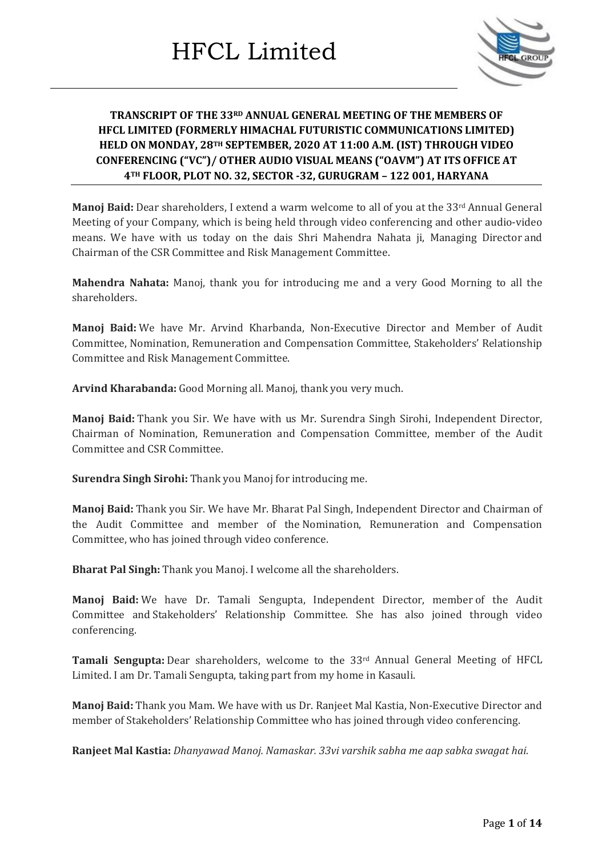

### **TRANSCRIPT OF THE 33RD ANNUAL GENERAL MEETING OF THE MEMBERS OF HFCL LIMITED (FORMERLY HIMACHAL FUTURISTIC COMMUNICATIONS LIMITED) HELD ON MONDAY, 28TH SEPTEMBER, 2020 AT 11:00 A.M. (IST) THROUGH VIDEO CONFERENCING ("VC")/ OTHER AUDIO VISUAL MEANS ("OAVM") AT ITS OFFICE AT 4TH FLOOR, PLOT NO. 32, SECTOR -32, GURUGRAM – 122 001, HARYANA**

**Manoj Baid:** Dear shareholders, I extend a warm welcome to all of you at the 33<sup>rd</sup> Annual General Meeting of your Company, which is being held through video conferencing and other audio-video means. We have with us today on the dais Shri Mahendra Nahata ji, Managing Director and Chairman of the CSR Committee and Risk Management Committee.

**Mahendra Nahata:** Manoj, thank you for introducing me and a very Good Morning to all the shareholders.

**Manoj Baid:** We have Mr. Arvind Kharbanda, Non-Executive Director and Member of Audit Committee, Nomination, Remuneration and Compensation Committee, Stakeholders' Relationship Committee and Risk Management Committee.

**Arvind Kharabanda:** Good Morning all. Manoj, thank you very much.

**Manoj Baid:** Thank you Sir. We have with us Mr. Surendra Singh Sirohi, Independent Director, Chairman of Nomination, Remuneration and Compensation Committee, member of the Audit Committee and CSR Committee.

**Surendra Singh Sirohi:** Thank you Manoj for introducing me.

**Manoj Baid:** Thank you Sir. We have Mr. Bharat Pal Singh, Independent Director and Chairman of the Audit Committee and member of the Nomination, Remuneration and Compensation Committee, who has joined through video conference.

**Bharat Pal Singh:** Thank you Manoj. I welcome all the shareholders.

**Manoj Baid:** We have Dr. Tamali Sengupta, Independent Director, member of the Audit Committee and Stakeholders' Relationship Committee. She has also joined through video conferencing.

Tamali Sengupta: Dear shareholders, welcome to the 33<sup>rd</sup> Annual General Meeting of HFCL Limited. I am Dr. Tamali Sengupta, taking part from my home in Kasauli.

**Manoj Baid:** Thank you Mam. We have with us Dr. Ranjeet Mal Kastia, Non-Executive Director and member of Stakeholders' Relationship Committee who has joined through video conferencing.

**Ranjeet Mal Kastia:** *Dhanyawad Manoj. Namaskar. 33vi varshik sabha me aap sabka swagat hai.*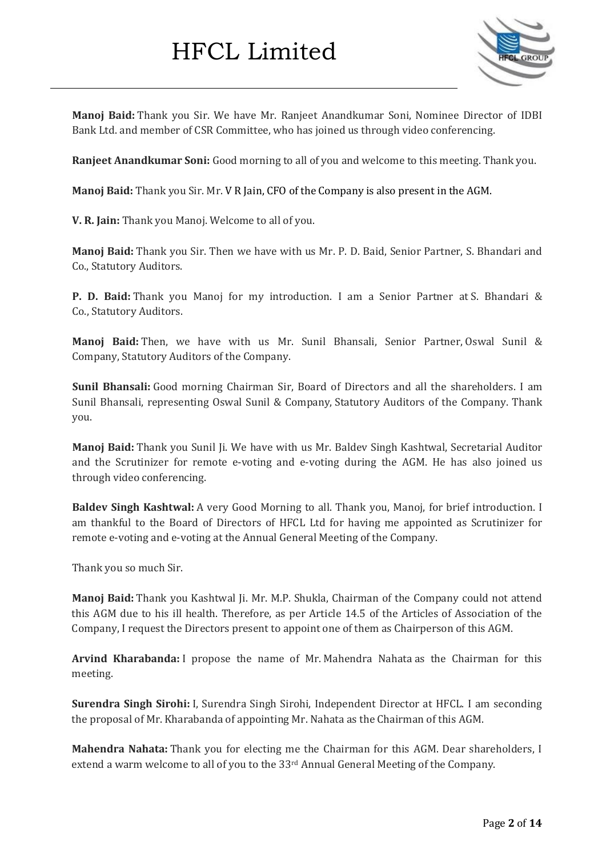

**Manoj Baid:** Thank you Sir. We have Mr. Ranjeet Anandkumar Soni, Nominee Director of IDBI Bank Ltd. and member of CSR Committee, who has joined us through video conferencing.

**Ranjeet Anandkumar Soni:** Good morning to all of you and welcome to this meeting. Thank you.

**Manoj Baid:** Thank you Sir. Mr. V R Jain, CFO of the Company is also present in the AGM.

**V. R. Jain:** Thank you Manoj. Welcome to all of you.

**Manoj Baid:** Thank you Sir. Then we have with us Mr. P. D. Baid, Senior Partner, S. Bhandari and Co., Statutory Auditors.

**P. D. Baid:** Thank you Manoj for my introduction. I am a Senior Partner at S. Bhandari & Co., Statutory Auditors.

**Manoj Baid:** Then, we have with us Mr. Sunil Bhansali, Senior Partner, Oswal Sunil & Company, Statutory Auditors of the Company.

**Sunil Bhansali:** Good morning Chairman Sir, Board of Directors and all the shareholders. I am Sunil Bhansali, representing Oswal Sunil & Company, Statutory Auditors of the Company. Thank you.

**Manoj Baid:** Thank you Sunil Ji. We have with us Mr. Baldev Singh Kashtwal, Secretarial Auditor and the Scrutinizer for remote e-voting and e-voting during the AGM. He has also joined us through video conferencing.

**Baldev Singh Kashtwal:** A very Good Morning to all. Thank you, Manoj, for brief introduction. I am thankful to the Board of Directors of HFCL Ltd for having me appointed as Scrutinizer for remote e-voting and e-voting at the Annual General Meeting of the Company.

Thank you so much Sir.

**Manoj Baid:** Thank you Kashtwal Ji. Mr. M.P. Shukla, Chairman of the Company could not attend this AGM due to his ill health. Therefore, as per Article 14.5 of the Articles of Association of the Company, I request the Directors present to appoint one of them as Chairperson of this AGM.

**Arvind Kharabanda:** I propose the name of Mr. Mahendra Nahata as the Chairman for this meeting.

**Surendra Singh Sirohi:** I, Surendra Singh Sirohi, Independent Director at HFCL. I am seconding the proposal of Mr. Kharabanda of appointing Mr. Nahata as the Chairman of this AGM.

**Mahendra Nahata:** Thank you for electing me the Chairman for this AGM. Dear shareholders, I extend a warm welcome to all of you to the 33<sup>rd</sup> Annual General Meeting of the Company.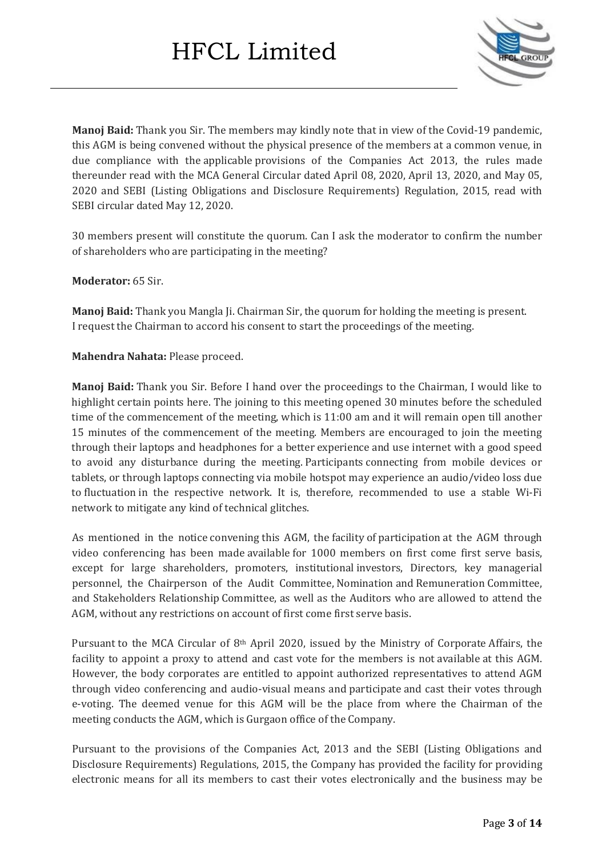

**Manoj Baid:** Thank you Sir. The members may kindly note that in view of the Covid-19 pandemic, this AGM is being convened without the physical presence of the members at a common venue, in due compliance with the applicable provisions of the Companies Act 2013, the rules made thereunder read with the MCA General Circular dated April 08, 2020, April 13, 2020, and May 05, 2020 and SEBI (Listing Obligations and Disclosure Requirements) Regulation, 2015, read with SEBI circular dated May 12, 2020.

30 members present will constitute the quorum. Can I ask the moderator to confirm the number of shareholders who are participating in the meeting?

#### **Moderator:** 65 Sir.

**Manoj Baid:** Thank you Mangla Ji. Chairman Sir, the quorum for holding the meeting is present. I request the Chairman to accord his consent to start the proceedings of the meeting.

**Mahendra Nahata:** Please proceed.

**Manoj Baid:** Thank you Sir. Before I hand over the proceedings to the Chairman, I would like to highlight certain points here. The joining to this meeting opened 30 minutes before the scheduled time of the commencement of the meeting, which is 11:00 am and it will remain open till another 15 minutes of the commencement of the meeting. Members are encouraged to join the meeting through their laptops and headphones for a better experience and use internet with a good speed to avoid any disturbance during the meeting. Participants connecting from mobile devices or tablets, or through laptops connecting via mobile hotspot may experience an audio/video loss due to fluctuation in the respective network. It is, therefore, recommended to use a stable Wi-Fi network to mitigate any kind of technical glitches.

As mentioned in the notice convening this AGM, the facility of participation at the AGM through video conferencing has been made available for 1000 members on first come first serve basis, except for large shareholders, promoters, institutional investors, Directors, key managerial personnel, the Chairperson of the Audit Committee, Nomination and Remuneration Committee, and Stakeholders Relationship Committee, as well as the Auditors who are allowed to attend the AGM, without any restrictions on account of first come first serve basis.

Pursuant to the MCA Circular of 8th April 2020, issued by the Ministry of Corporate Affairs, the facility to appoint a proxy to attend and cast vote for the members is not available at this AGM. However, the body corporates are entitled to appoint authorized representatives to attend AGM through video conferencing and audio-visual means and participate and cast their votes through e-voting. The deemed venue for this AGM will be the place from where the Chairman of the meeting conducts the AGM, which is Gurgaon office of the Company.

Pursuant to the provisions of the Companies Act, 2013 and the SEBI (Listing Obligations and Disclosure Requirements) Regulations, 2015, the Company has provided the facility for providing electronic means for all its members to cast their votes electronically and the business may be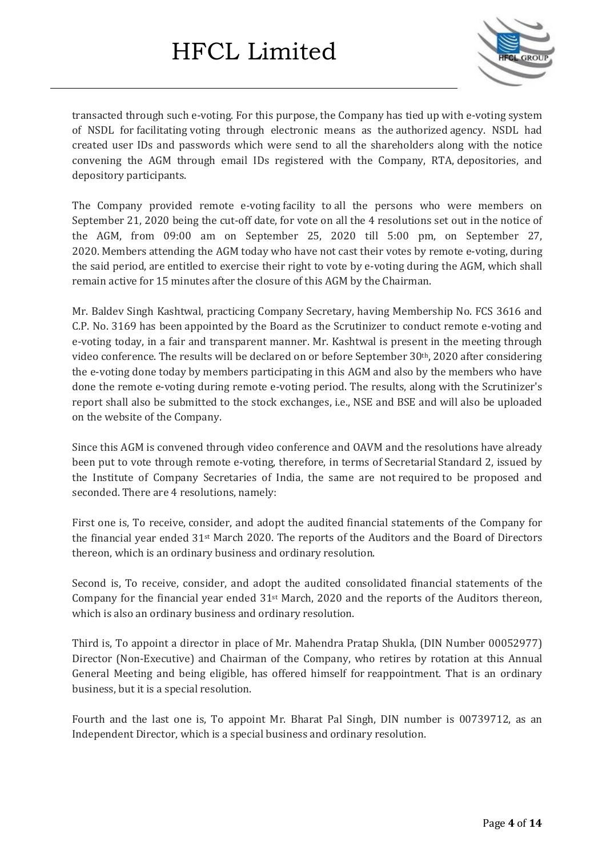

transacted through such e-voting. For this purpose, the Company has tied up with e-voting system of NSDL for facilitating voting through electronic means as the authorized agency. NSDL had created user IDs and passwords which were send to all the shareholders along with the notice convening the AGM through email IDs registered with the Company, RTA, depositories, and depository participants.

The Company provided remote e-voting facility to all the persons who were members on September 21, 2020 being the cut-off date, for vote on all the 4 resolutions set out in the notice of the AGM, from 09:00 am on September 25, 2020 till 5:00 pm, on September 27, 2020. Members attending the AGM today who have not cast their votes by remote e-voting, during the said period, are entitled to exercise their right to vote by e-voting during the AGM, which shall remain active for 15 minutes after the closure of this AGM by the Chairman.

Mr. Baldev Singh Kashtwal, practicing Company Secretary, having Membership No. FCS 3616 and C.P. No. 3169 has been appointed by the Board as the Scrutinizer to conduct remote e-voting and e-voting today, in a fair and transparent manner. Mr. Kashtwal is present in the meeting through video conference. The results will be declared on or before September 30th, 2020 after considering the e-voting done today by members participating in this AGM and also by the members who have done the remote e-voting during remote e-voting period. The results, along with the Scrutinizer's report shall also be submitted to the stock exchanges, i.e., NSE and BSE and will also be uploaded on the website of the Company.

Since this AGM is convened through video conference and OAVM and the resolutions have already been put to vote through remote e-voting, therefore, in terms of Secretarial Standard 2, issued by the Institute of Company Secretaries of India, the same are not required to be proposed and seconded. There are 4 resolutions, namely:

First one is, To receive, consider, and adopt the audited financial statements of the Company for the financial year ended 31st March 2020. The reports of the Auditors and the Board of Directors thereon, which is an ordinary business and ordinary resolution.

Second is, To receive, consider, and adopt the audited consolidated financial statements of the Company for the financial year ended  $31<sup>st</sup>$  March, 2020 and the reports of the Auditors thereon, which is also an ordinary business and ordinary resolution.

Third is, To appoint a director in place of Mr. Mahendra Pratap Shukla, (DIN Number 00052977) Director (Non-Executive) and Chairman of the Company, who retires by rotation at this Annual General Meeting and being eligible, has offered himself for reappointment. That is an ordinary business, but it is a special resolution.

Fourth and the last one is, To appoint Mr. Bharat Pal Singh, DIN number is 00739712, as an Independent Director, which is a special business and ordinary resolution.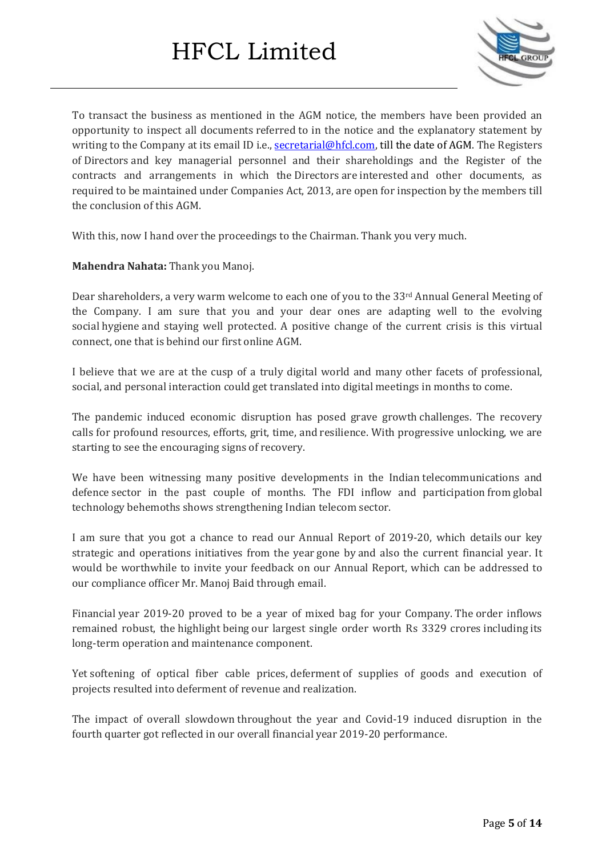

To transact the business as mentioned in the AGM notice, the members have been provided an opportunity to inspect all documents referred to in the notice and the explanatory statement by writing to the Company at its email ID i.e., [secretarial@hfcl.com,](mailto:secretarial@hfcl.com) till the date of AGM. The Registers of Directors and key managerial personnel and their shareholdings and the Register of the contracts and arrangements in which the Directors are interested and other documents, as required to be maintained under Companies Act, 2013, are open for inspection by the members till the conclusion of this AGM.

With this, now I hand over the proceedings to the Chairman. Thank you very much.

**Mahendra Nahata:** Thank you Manoj.

Dear shareholders, a very warm welcome to each one of you to the 33<sup>rd</sup> Annual General Meeting of the Company. I am sure that you and your dear ones are adapting well to the evolving social hygiene and staying well protected. A positive change of the current crisis is this virtual connect, one that is behind our first online AGM.

I believe that we are at the cusp of a truly digital world and many other facets of professional, social, and personal interaction could get translated into digital meetings in months to come.

The pandemic induced economic disruption has posed grave growth challenges. The recovery calls for profound resources, efforts, grit, time, and resilience. With progressive unlocking, we are starting to see the encouraging signs of recovery.

We have been witnessing many positive developments in the Indian telecommunications and defence sector in the past couple of months. The FDI inflow and participation from global technology behemoths shows strengthening Indian telecom sector.

I am sure that you got a chance to read our Annual Report of 2019-20, which details our key strategic and operations initiatives from the year gone by and also the current financial year. It would be worthwhile to invite your feedback on our Annual Report, which can be addressed to our compliance officer Mr. Manoj Baid through email.

Financial year 2019-20 proved to be a year of mixed bag for your Company. The order inflows remained robust, the highlight being our largest single order worth Rs 3329 crores including its long-term operation and maintenance component.

Yet softening of optical fiber cable prices, deferment of supplies of goods and execution of projects resulted into deferment of revenue and realization.

The impact of overall slowdown throughout the year and Covid-19 induced disruption in the fourth quarter got reflected in our overall financial year 2019-20 performance.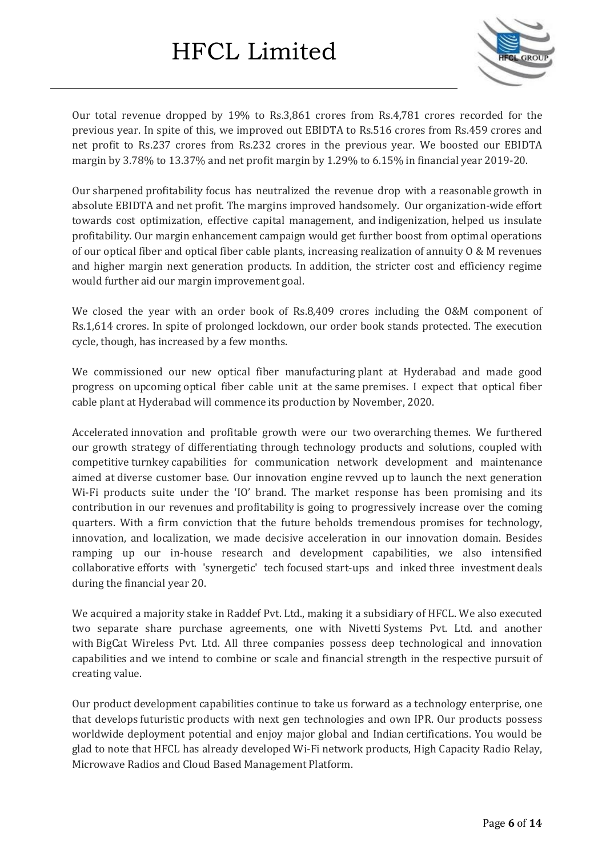

Our total revenue dropped by 19% to Rs.3,861 crores from Rs.4,781 crores recorded for the previous year. In spite of this, we improved out EBIDTA to Rs.516 crores from Rs.459 crores and net profit to Rs.237 crores from Rs.232 crores in the previous year. We boosted our EBIDTA margin by 3.78% to 13.37% and net profit margin by 1.29% to 6.15% in financial year 2019-20.

Our sharpened profitability focus has neutralized the revenue drop with a reasonable growth in absolute EBIDTA and net profit. The margins improved handsomely. Our organization-wide effort towards cost optimization, effective capital management, and indigenization, helped us insulate profitability. Our margin enhancement campaign would get further boost from optimal operations of our optical fiber and optical fiber cable plants, increasing realization of annuity O & M revenues and higher margin next generation products. In addition, the stricter cost and efficiency regime would further aid our margin improvement goal.

We closed the year with an order book of Rs.8,409 crores including the O&M component of Rs.1,614 crores. In spite of prolonged lockdown, our order book stands protected. The execution cycle, though, has increased by a few months.

We commissioned our new optical fiber manufacturing plant at Hyderabad and made good progress on upcoming optical fiber cable unit at the same premises. I expect that optical fiber cable plant at Hyderabad will commence its production by November, 2020.

Accelerated innovation and profitable growth were our two overarching themes. We furthered our growth strategy of differentiating through technology products and solutions, coupled with competitive turnkey capabilities for communication network development and maintenance aimed at diverse customer base. Our innovation engine revved up to launch the next generation Wi-Fi products suite under the 'IO' brand. The market response has been promising and its contribution in our revenues and profitability is going to progressively increase over the coming quarters. With a firm conviction that the future beholds tremendous promises for technology, innovation, and localization, we made decisive acceleration in our innovation domain. Besides ramping up our in-house research and development capabilities, we also intensified collaborative efforts with 'synergetic' tech focused start-ups and inked three investment deals during the financial year 20.

We acquired a majority stake in Raddef Pvt. Ltd., making it a subsidiary of HFCL. We also executed two separate share purchase agreements, one with Nivetti Systems Pvt. Ltd. and another with BigCat Wireless Pvt. Ltd. All three companies possess deep technological and innovation capabilities and we intend to combine or scale and financial strength in the respective pursuit of creating value.

Our product development capabilities continue to take us forward as a technology enterprise, one that develops futuristic products with next gen technologies and own IPR. Our products possess worldwide deployment potential and enjoy major global and Indian certifications. You would be glad to note that HFCL has already developed Wi-Fi network products, High Capacity Radio Relay, Microwave Radios and Cloud Based Management Platform.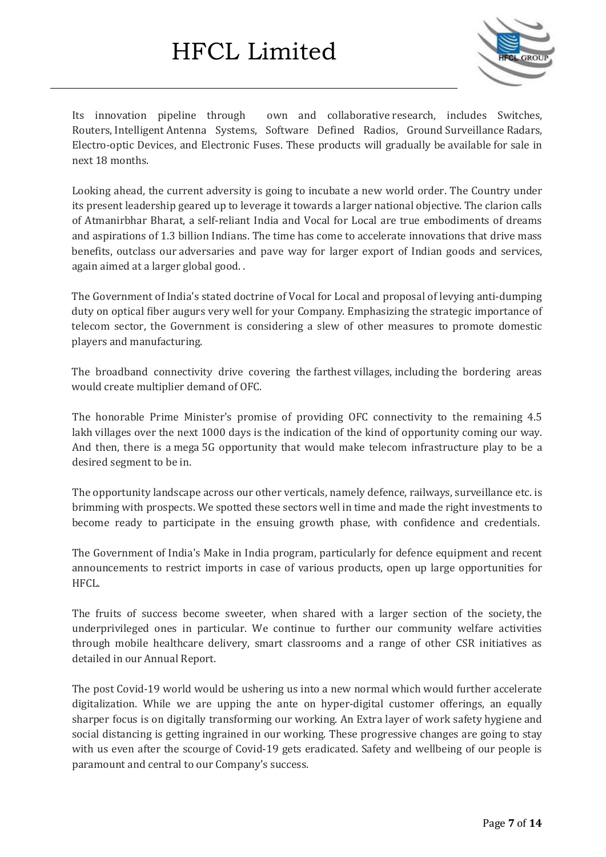

Its innovation pipeline through own and collaborative research, includes Switches, Routers, Intelligent Antenna Systems, Software Defined Radios, Ground Surveillance Radars, Electro-optic Devices, and Electronic Fuses. These products will gradually be available for sale in next 18 months.

Looking ahead, the current adversity is going to incubate a new world order. The Country under its present leadership geared up to leverage it towards a larger national objective. The clarion calls of Atmanirbhar Bharat, a self-reliant India and Vocal for Local are true embodiments of dreams and aspirations of 1.3 billion Indians. The time has come to accelerate innovations that drive mass benefits, outclass our adversaries and pave way for larger export of Indian goods and services, again aimed at a larger global good. .

The Government of India's stated doctrine of Vocal for Local and proposal of levying anti-dumping duty on optical fiber augurs very well for your Company. Emphasizing the strategic importance of telecom sector, the Government is considering a slew of other measures to promote domestic players and manufacturing.

The broadband connectivity drive covering the farthest villages, including the bordering areas would create multiplier demand of OFC.

The honorable Prime Minister's promise of providing OFC connectivity to the remaining 4.5 lakh villages over the next 1000 days is the indication of the kind of opportunity coming our way. And then, there is a mega 5G opportunity that would make telecom infrastructure play to be a desired segment to be in.

The opportunity landscape across our other verticals, namely defence, railways, surveillance etc. is brimming with prospects. We spotted these sectors well in time and made the right investments to become ready to participate in the ensuing growth phase, with confidence and credentials.

The Government of India's Make in India program, particularly for defence equipment and recent announcements to restrict imports in case of various products, open up large opportunities for HFCL.

The fruits of success become sweeter, when shared with a larger section of the society, the underprivileged ones in particular. We continue to further our community welfare activities through mobile healthcare delivery, smart classrooms and a range of other CSR initiatives as detailed in our Annual Report.

The post Covid-19 world would be ushering us into a new normal which would further accelerate digitalization. While we are upping the ante on hyper-digital customer offerings, an equally sharper focus is on digitally transforming our working. An Extra layer of work safety hygiene and social distancing is getting ingrained in our working. These progressive changes are going to stay with us even after the scourge of Covid-19 gets eradicated. Safety and wellbeing of our people is paramount and central to our Company's success.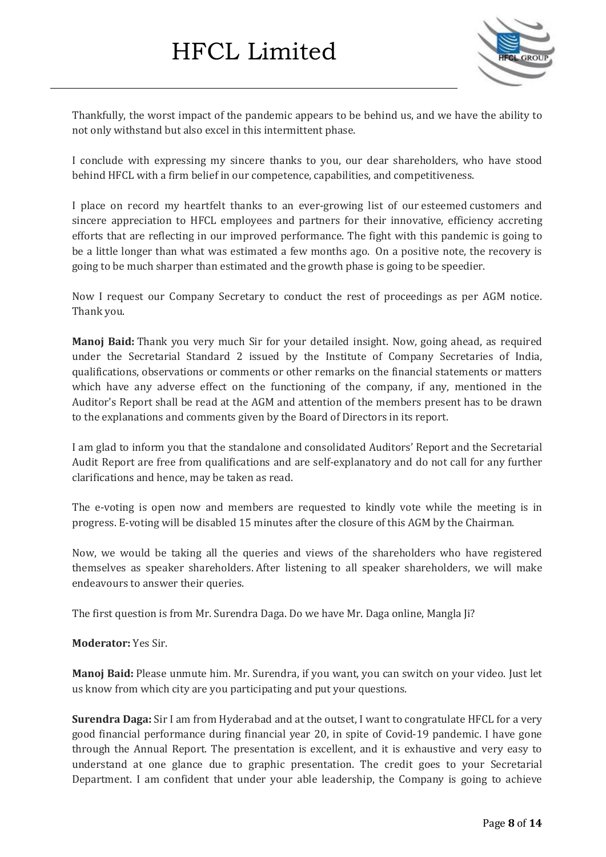

Thankfully, the worst impact of the pandemic appears to be behind us, and we have the ability to not only withstand but also excel in this intermittent phase.

I conclude with expressing my sincere thanks to you, our dear shareholders, who have stood behind HFCL with a firm belief in our competence, capabilities, and competitiveness.

I place on record my heartfelt thanks to an ever-growing list of our esteemed customers and sincere appreciation to HFCL employees and partners for their innovative, efficiency accreting efforts that are reflecting in our improved performance. The fight with this pandemic is going to be a little longer than what was estimated a few months ago. On a positive note, the recovery is going to be much sharper than estimated and the growth phase is going to be speedier.

Now I request our Company Secretary to conduct the rest of proceedings as per AGM notice. Thank you.

**Manoj Baid:** Thank you very much Sir for your detailed insight. Now, going ahead, as required under the Secretarial Standard 2 issued by the Institute of Company Secretaries of India, qualifications, observations or comments or other remarks on the financial statements or matters which have any adverse effect on the functioning of the company, if any, mentioned in the Auditor's Report shall be read at the AGM and attention of the members present has to be drawn to the explanations and comments given by the Board of Directors in its report.

I am glad to inform you that the standalone and consolidated Auditors' Report and the Secretarial Audit Report are free from qualifications and are self-explanatory and do not call for any further clarifications and hence, may be taken as read.

The e-voting is open now and members are requested to kindly vote while the meeting is in progress. E-voting will be disabled 15 minutes after the closure of this AGM by the Chairman.

Now, we would be taking all the queries and views of the shareholders who have registered themselves as speaker shareholders. After listening to all speaker shareholders, we will make endeavours to answer their queries.

The first question is from Mr. Surendra Daga. Do we have Mr. Daga online, Mangla Ji?

#### **Moderator:** Yes Sir.

**Manoj Baid:** Please unmute him. Mr. Surendra, if you want, you can switch on your video. Just let us know from which city are you participating and put your questions.

**Surendra Daga:** Sir I am from Hyderabad and at the outset, I want to congratulate HFCL for a very good financial performance during financial year 20, in spite of Covid-19 pandemic. I have gone through the Annual Report. The presentation is excellent, and it is exhaustive and very easy to understand at one glance due to graphic presentation. The credit goes to your Secretarial Department. I am confident that under your able leadership, the Company is going to achieve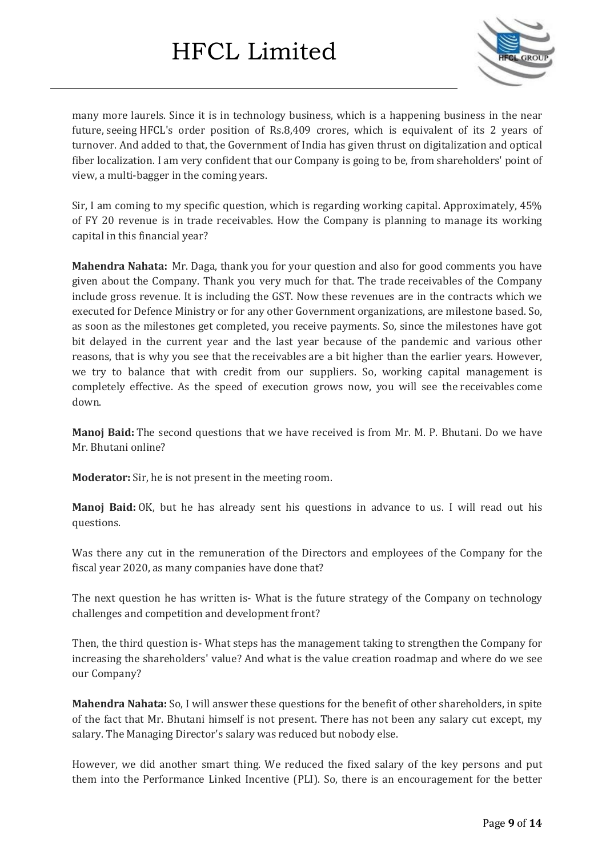

many more laurels. Since it is in technology business, which is a happening business in the near future, seeing HFCL's order position of Rs.8,409 crores, which is equivalent of its 2 years of turnover. And added to that, the Government of India has given thrust on digitalization and optical fiber localization. I am very confident that our Company is going to be, from shareholders' point of view, a multi-bagger in the coming years.

Sir, I am coming to my specific question, which is regarding working capital. Approximately, 45% of FY 20 revenue is in trade receivables. How the Company is planning to manage its working capital in this financial year?

**Mahendra Nahata:** Mr. Daga, thank you for your question and also for good comments you have given about the Company. Thank you very much for that. The trade receivables of the Company include gross revenue. It is including the GST. Now these revenues are in the contracts which we executed for Defence Ministry or for any other Government organizations, are milestone based. So, as soon as the milestones get completed, you receive payments. So, since the milestones have got bit delayed in the current year and the last year because of the pandemic and various other reasons, that is why you see that the receivables are a bit higher than the earlier years. However, we try to balance that with credit from our suppliers. So, working capital management is completely effective. As the speed of execution grows now, you will see the receivables come down.

**Manoj Baid:** The second questions that we have received is from Mr. M. P. Bhutani. Do we have Mr. Bhutani online?

**Moderator:** Sir, he is not present in the meeting room.

**Manoj Baid:** OK, but he has already sent his questions in advance to us. I will read out his questions.

Was there any cut in the remuneration of the Directors and employees of the Company for the fiscal year 2020, as many companies have done that?

The next question he has written is- What is the future strategy of the Company on technology challenges and competition and development front?

Then, the third question is- What steps has the management taking to strengthen the Company for increasing the shareholders' value? And what is the value creation roadmap and where do we see our Company?

**Mahendra Nahata:** So, I will answer these questions for the benefit of other shareholders, in spite of the fact that Mr. Bhutani himself is not present. There has not been any salary cut except, my salary. The Managing Director's salary was reduced but nobody else.

However, we did another smart thing. We reduced the fixed salary of the key persons and put them into the Performance Linked Incentive (PLI). So, there is an encouragement for the better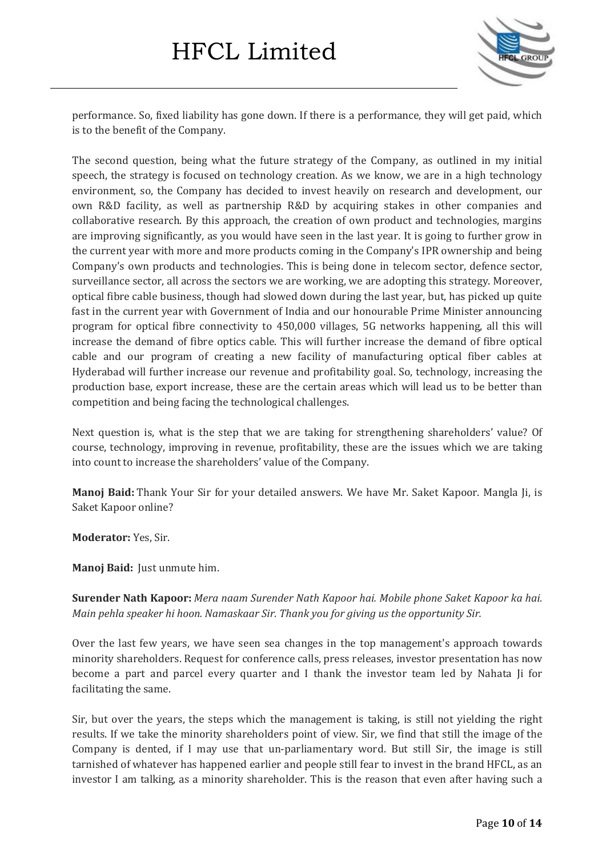

performance. So, fixed liability has gone down. If there is a performance, they will get paid, which is to the benefit of the Company.

The second question, being what the future strategy of the Company, as outlined in my initial speech, the strategy is focused on technology creation. As we know, we are in a high technology environment, so, the Company has decided to invest heavily on research and development, our own R&D facility, as well as partnership R&D by acquiring stakes in other companies and collaborative research. By this approach, the creation of own product and technologies, margins are improving significantly, as you would have seen in the last year. It is going to further grow in the current year with more and more products coming in the Company's IPR ownership and being Company's own products and technologies. This is being done in telecom sector, defence sector, surveillance sector, all across the sectors we are working, we are adopting this strategy. Moreover, optical fibre cable business, though had slowed down during the last year, but, has picked up quite fast in the current year with Government of India and our honourable Prime Minister announcing program for optical fibre connectivity to 450,000 villages, 5G networks happening, all this will increase the demand of fibre optics cable. This will further increase the demand of fibre optical cable and our program of creating a new facility of manufacturing optical fiber cables at Hyderabad will further increase our revenue and profitability goal. So, technology, increasing the production base, export increase, these are the certain areas which will lead us to be better than competition and being facing the technological challenges.

Next question is, what is the step that we are taking for strengthening shareholders' value? Of course, technology, improving in revenue, profitability, these are the issues which we are taking into count to increase the shareholders' value of the Company.

**Manoj Baid:** Thank Your Sir for your detailed answers. We have Mr. Saket Kapoor. Mangla Ji, is Saket Kapoor online?

**Moderator:** Yes, Sir.

**Manoj Baid:** Just unmute him.

**Surender Nath Kapoor:** *Mera naam Surender Nath Kapoor hai. Mobile phone Saket Kapoor ka hai. Main pehla speaker hi hoon. Namaskaar Sir. Thank you for giving us the opportunity Sir.*

Over the last few years, we have seen sea changes in the top management's approach towards minority shareholders. Request for conference calls, press releases, investor presentation has now become a part and parcel every quarter and I thank the investor team led by Nahata Ji for facilitating the same.

Sir, but over the years, the steps which the management is taking, is still not yielding the right results. If we take the minority shareholders point of view. Sir, we find that still the image of the Company is dented, if I may use that un-parliamentary word. But still Sir, the image is still tarnished of whatever has happened earlier and people still fear to invest in the brand HFCL, as an investor I am talking, as a minority shareholder. This is the reason that even after having such a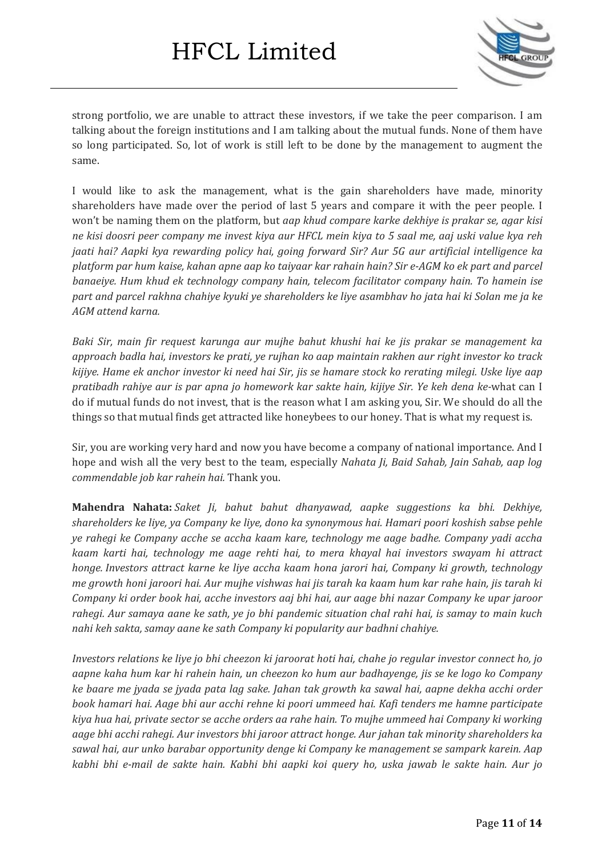

strong portfolio, we are unable to attract these investors, if we take the peer comparison. I am talking about the foreign institutions and I am talking about the mutual funds. None of them have so long participated. So, lot of work is still left to be done by the management to augment the same.

I would like to ask the management, what is the gain shareholders have made, minority shareholders have made over the period of last 5 years and compare it with the peer people. I won't be naming them on the platform, but *aap khud compare karke dekhiye is prakar se, agar kisi* ne kisi doosri peer company me invest kiya aur HFCL mein kiya to 5 saal me, aaj uski value kya reh *jaati hai? Aapki kya rewarding policy hai, going forward Sir? Aur 5G aur artificial intelligence ka* platform par hum kaise, kahan apne aap ko taiyaar kar rahain hain? Sir e-AGM ko ek part and parcel *banaeiye. Hum khud ek technology company hain, telecom facilitator company hain. To hamein ise* part and parcel rakhna chahiye kyuki ye shareholders ke liye asambhav ho jata hai ki Solan me ja ke *AGM attend karna.*

*Baki Sir, main fir request karunga aur mujhe bahut khushi hai ke jis prakar se management ka approach badla hai, investors ke prati, ye rujhan ko aap maintain rakhen aur right investor ko track* kijiye. Hame ek anchor investor ki need hai Sir, jis se hamare stock ko rerating milegi. Uske liye aap *pratibadh rahiye aur is par apna jo homework kar sakte hain, kijiye Sir. Ye keh dena ke-*what can I do if mutual funds do not invest, that is the reason what I am asking you, Sir. We should do all the things so that mutual finds get attracted like honeybees to our honey. That is what my request is.

Sir, you are working very hard and now you have become a company of national importance. And I hope and wish all the very best to the team, especially *Nahata Ji, Baid Sahab, Jain Sahab, aap log commendable job kar rahein hai.* Thank you.

**Mahendra Nahata:** *Saket Ji, bahut bahut dhanyawad, aapke suggestions ka bhi. Dekhiye, shareholders ke liye, ya Company ke liye, dono ka synonymous hai. Hamari poori koshish sabse pehle ye rahegi ke Company acche se accha kaam kare, technology me aage badhe. Company yadi accha kaam karti hai, technology me aage rehti hai, to mera khayal hai investors swayam hi attract honge. Investors attract karne ke liye accha kaam hona jarori hai, Company ki growth, technology* me growth honi jaroori hai. Aur mujhe vishwas hai jis tarah ka kaam hum kar rahe hain, jis tarah ki *Company ki order book hai, acche investors aaj bhi hai, aur aage bhi nazar Company ke upar jaroor* rahegi. Aur samaya aane ke sath, ye jo bhi pandemic situation chal rahi hai, is samay to main kuch *nahi keh sakta, samay aane ke sath Company ki popularity aur badhni chahiye.*

Investors relations ke liye jo bhi cheezon ki jaroorat hoti hai, chahe jo regular investor connect ho, jo aapne kaha hum kar hi rahein hain, un cheezon ko hum aur badhayenge, jis se ke logo ko Company ke baare me jyada se jyada pata lag sake. Jahan tak growth ka sawal hai, aapne dekha acchi order *book hamari hai. Aage bhi aur acchi rehne ki poori ummeed hai. Kafi tenders me hamne participate kiya hua hai, private sector se acche orders aa rahe hain. To mujhe ummeed hai Company ki working aage bhi acchi rahegi. Aur investors bhi jaroor attract honge. Aur jahan tak minority shareholders ka sawal hai, aur unko barabar opportunity denge ki Company ke management se sampark karein. Aap* kabhi bhi e-mail de sakte hain. Kabhi bhi aapki koi query ho, uska jawab le sakte hain. Aur jo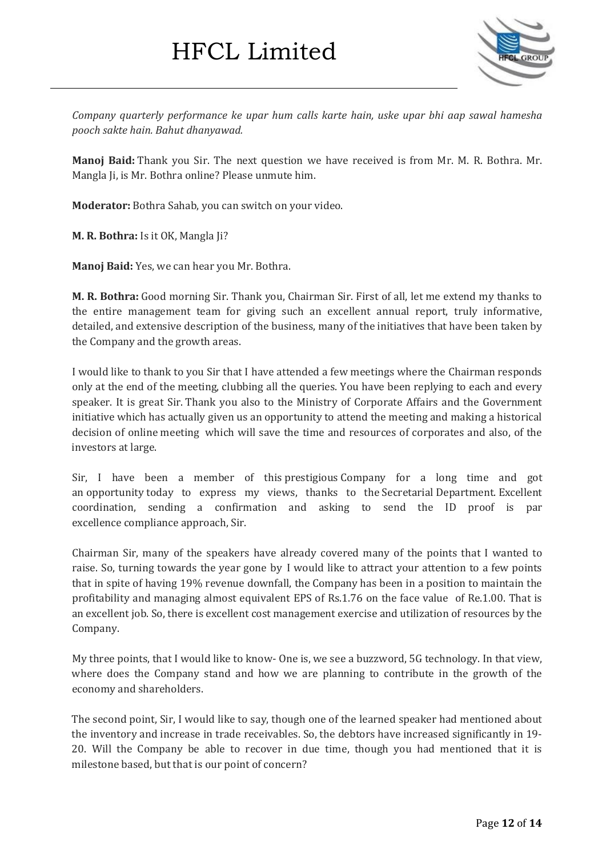

*Company quarterly performance ke upar hum calls karte hain, uske upar bhi aap sawal hamesha pooch sakte hain. Bahut dhanyawad.*

**Manoj Baid:** Thank you Sir. The next question we have received is from Mr. M. R. Bothra. Mr. Mangla Ji, is Mr. Bothra online? Please unmute him.

**Moderator:** Bothra Sahab, you can switch on your video.

**M. R. Bothra:** Is it OK, Mangla Ji?

**Manoj Baid:** Yes, we can hear you Mr. Bothra.

**M. R. Bothra:** Good morning Sir. Thank you, Chairman Sir. First of all, let me extend my thanks to the entire management team for giving such an excellent annual report, truly informative, detailed, and extensive description of the business, many of the initiatives that have been taken by the Company and the growth areas.

I would like to thank to you Sir that I have attended a few meetings where the Chairman responds only at the end of the meeting, clubbing all the queries. You have been replying to each and every speaker. It is great Sir. Thank you also to the Ministry of Corporate Affairs and the Government initiative which has actually given us an opportunity to attend the meeting and making a historical decision of online meeting which will save the time and resources of corporates and also, of the investors at large.

Sir, I have been a member of this prestigious Company for a long time and got an opportunity today to express my views, thanks to the Secretarial Department. Excellent coordination, sending a confirmation and asking to send the ID proof is par excellence compliance approach, Sir.

Chairman Sir, many of the speakers have already covered many of the points that I wanted to raise. So, turning towards the year gone by I would like to attract your attention to a few points that in spite of having 19% revenue downfall, the Company has been in a position to maintain the profitability and managing almost equivalent EPS of Rs.1.76 on the face value of Re.1.00. That is an excellent job. So, there is excellent cost management exercise and utilization of resources by the Company.

My three points, that I would like to know- One is, we see a buzzword, 5G technology. In that view, where does the Company stand and how we are planning to contribute in the growth of the economy and shareholders.

The second point, Sir, I would like to say, though one of the learned speaker had mentioned about the inventory and increase in trade receivables. So, the debtors have increased significantly in 19- 20. Will the Company be able to recover in due time, though you had mentioned that it is milestone based, but that is our point of concern?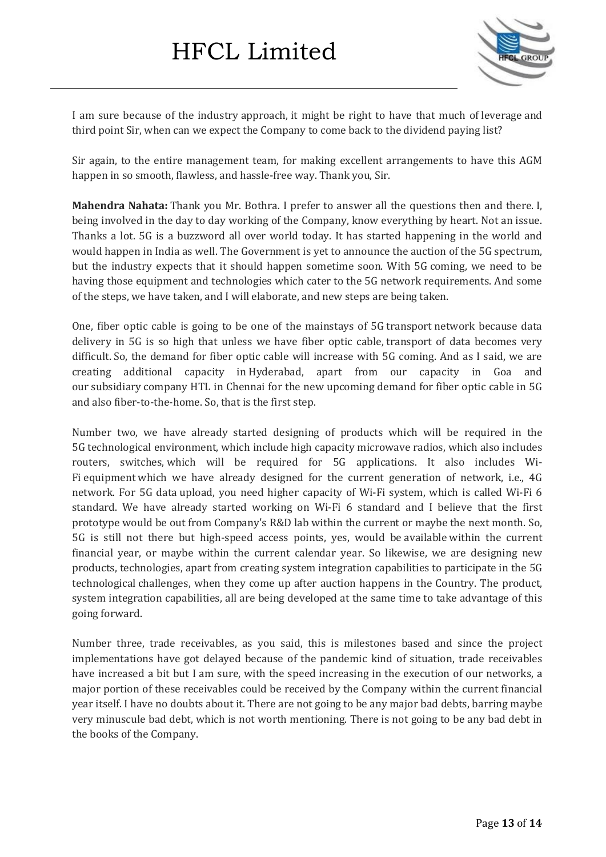

I am sure because of the industry approach, it might be right to have that much of leverage and third point Sir, when can we expect the Company to come back to the dividend paying list?

Sir again, to the entire management team, for making excellent arrangements to have this AGM happen in so smooth, flawless, and hassle-free way. Thank you, Sir.

**Mahendra Nahata:** Thank you Mr. Bothra. I prefer to answer all the questions then and there. I, being involved in the day to day working of the Company, know everything by heart. Not an issue. Thanks a lot. 5G is a buzzword all over world today. It has started happening in the world and would happen in India as well. The Government is yet to announce the auction of the 5G spectrum, but the industry expects that it should happen sometime soon. With 5G coming, we need to be having those equipment and technologies which cater to the 5G network requirements. And some of the steps, we have taken, and I will elaborate, and new steps are being taken.

One, fiber optic cable is going to be one of the mainstays of 5G transport network because data delivery in 5G is so high that unless we have fiber optic cable, transport of data becomes very difficult. So, the demand for fiber optic cable will increase with 5G coming. And as I said, we are creating additional capacity in Hyderabad, apart from our capacity in Goa and our subsidiary company HTL in Chennai for the new upcoming demand for fiber optic cable in 5G and also fiber-to-the-home. So, that is the first step.

Number two, we have already started designing of products which will be required in the 5G technological environment, which include high capacity microwave radios, which also includes routers, switches, which will be required for 5G applications. It also includes Wi-Fi equipment which we have already designed for the current generation of network, i.e., 4G network. For 5G data upload, you need higher capacity of Wi-Fi system, which is called Wi-Fi 6 standard. We have already started working on Wi-Fi 6 standard and I believe that the first prototype would be out from Company's R&D lab within the current or maybe the next month. So, 5G is still not there but high-speed access points, yes, would be available within the current financial year, or maybe within the current calendar year. So likewise, we are designing new products, technologies, apart from creating system integration capabilities to participate in the 5G technological challenges, when they come up after auction happens in the Country. The product, system integration capabilities, all are being developed at the same time to take advantage of this going forward.

Number three, trade receivables, as you said, this is milestones based and since the project implementations have got delayed because of the pandemic kind of situation, trade receivables have increased a bit but I am sure, with the speed increasing in the execution of our networks, a major portion of these receivables could be received by the Company within the current financial year itself. I have no doubts about it. There are not going to be any major bad debts, barring maybe very minuscule bad debt, which is not worth mentioning. There is not going to be any bad debt in the books of the Company.